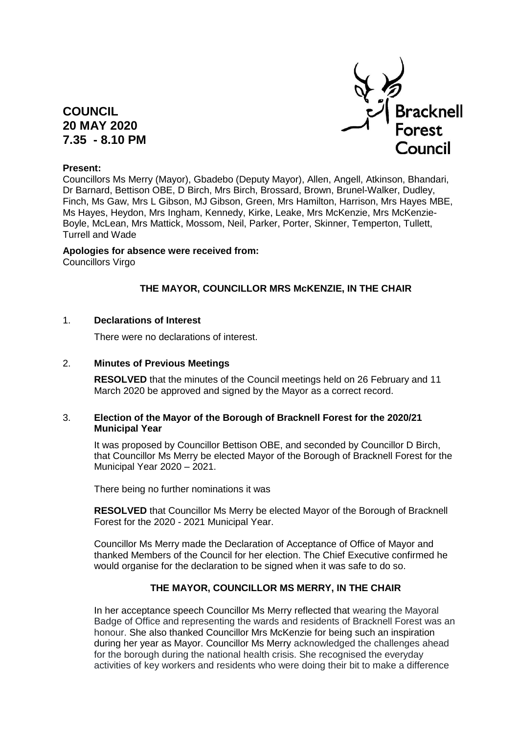# **COUNCIL 20 MAY 2020 7.35 - 8.10 PM**



## **Present:**

Councillors Ms Merry (Mayor), Gbadebo (Deputy Mayor), Allen, Angell, Atkinson, Bhandari, Dr Barnard, Bettison OBE, D Birch, Mrs Birch, Brossard, Brown, Brunel-Walker, Dudley, Finch, Ms Gaw, Mrs L Gibson, MJ Gibson, Green, Mrs Hamilton, Harrison, Mrs Hayes MBE, Ms Hayes, Heydon, Mrs Ingham, Kennedy, Kirke, Leake, Mrs McKenzie, Mrs McKenzie-Boyle, McLean, Mrs Mattick, Mossom, Neil, Parker, Porter, Skinner, Temperton, Tullett, Turrell and Wade

## **Apologies for absence were received from:**

Councillors Virgo

## **THE MAYOR, COUNCILLOR MRS McKENZIE, IN THE CHAIR**

## 1. **Declarations of Interest**

There were no declarations of interest.

## 2. **Minutes of Previous Meetings**

**RESOLVED** that the minutes of the Council meetings held on 26 February and 11 March 2020 be approved and signed by the Mayor as a correct record.

## 3. **Election of the Mayor of the Borough of Bracknell Forest for the 2020/21 Municipal Year**

It was proposed by Councillor Bettison OBE, and seconded by Councillor D Birch, that Councillor Ms Merry be elected Mayor of the Borough of Bracknell Forest for the Municipal Year 2020 – 2021.

There being no further nominations it was

**RESOLVED** that Councillor Ms Merry be elected Mayor of the Borough of Bracknell Forest for the 2020 - 2021 Municipal Year.

Councillor Ms Merry made the Declaration of Acceptance of Office of Mayor and thanked Members of the Council for her election. The Chief Executive confirmed he would organise for the declaration to be signed when it was safe to do so.

## **THE MAYOR, COUNCILLOR MS MERRY, IN THE CHAIR**

In her acceptance speech Councillor Ms Merry reflected that wearing the Mayoral Badge of Office and representing the wards and residents of Bracknell Forest was an honour. She also thanked Councillor Mrs McKenzie for being such an inspiration during her year as Mayor. Councillor Ms Merry acknowledged the challenges ahead for the borough during the national health crisis. She recognised the everyday activities of key workers and residents who were doing their bit to make a difference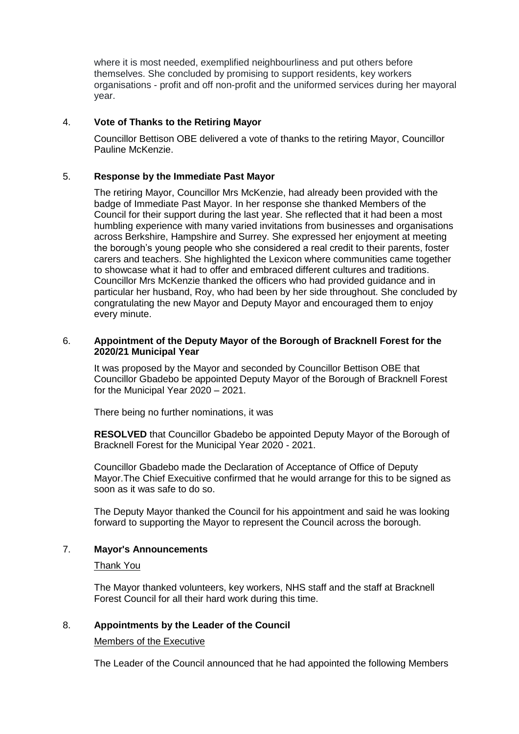where it is most needed, exemplified neighbourliness and put others before themselves. She concluded by promising to support residents, key workers organisations - profit and off non-profit and the uniformed services during her mayoral year.

## 4. **Vote of Thanks to the Retiring Mayor**

Councillor Bettison OBE delivered a vote of thanks to the retiring Mayor, Councillor Pauline McKenzie.

## 5. **Response by the Immediate Past Mayor**

The retiring Mayor, Councillor Mrs McKenzie, had already been provided with the badge of Immediate Past Mayor. In her response she thanked Members of the Council for their support during the last year. She reflected that it had been a most humbling experience with many varied invitations from businesses and organisations across Berkshire, Hampshire and Surrey. She expressed her enjoyment at meeting the borough's young people who she considered a real credit to their parents, foster carers and teachers. She highlighted the Lexicon where communities came together to showcase what it had to offer and embraced different cultures and traditions. Councillor Mrs McKenzie thanked the officers who had provided guidance and in particular her husband, Roy, who had been by her side throughout. She concluded by congratulating the new Mayor and Deputy Mayor and encouraged them to enjoy every minute.

#### 6. **Appointment of the Deputy Mayor of the Borough of Bracknell Forest for the 2020/21 Municipal Year**

It was proposed by the Mayor and seconded by Councillor Bettison OBE that Councillor Gbadebo be appointed Deputy Mayor of the Borough of Bracknell Forest for the Municipal Year 2020 – 2021.

There being no further nominations, it was

**RESOLVED** that Councillor Gbadebo be appointed Deputy Mayor of the Borough of Bracknell Forest for the Municipal Year 2020 - 2021.

Councillor Gbadebo made the Declaration of Acceptance of Office of Deputy Mayor.The Chief Execuitive confirmed that he would arrange for this to be signed as soon as it was safe to do so.

The Deputy Mayor thanked the Council for his appointment and said he was looking forward to supporting the Mayor to represent the Council across the borough.

## 7. **Mayor's Announcements**

#### Thank You

The Mayor thanked volunteers, key workers, NHS staff and the staff at Bracknell Forest Council for all their hard work during this time.

## 8. **Appointments by the Leader of the Council**

#### Members of the Executive

The Leader of the Council announced that he had appointed the following Members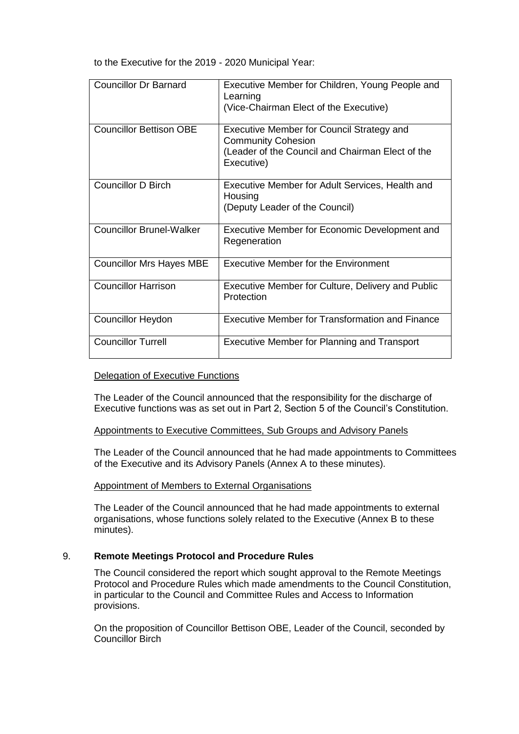to the Executive for the 2019 - 2020 Municipal Year:

| <b>Councillor Dr Barnard</b>    | Executive Member for Children, Young People and<br>Learning                   |
|---------------------------------|-------------------------------------------------------------------------------|
|                                 | (Vice-Chairman Elect of the Executive)                                        |
| <b>Councillor Bettison OBE</b>  | <b>Executive Member for Council Strategy and</b><br><b>Community Cohesion</b> |
|                                 | (Leader of the Council and Chairman Elect of the<br>Executive)                |
| <b>Councillor D Birch</b>       | Executive Member for Adult Services, Health and<br>Housing                    |
|                                 | (Deputy Leader of the Council)                                                |
| <b>Councillor Brunel-Walker</b> | Executive Member for Economic Development and<br>Regeneration                 |
| <b>Councillor Mrs Hayes MBE</b> | <b>Executive Member for the Environment</b>                                   |
| <b>Councillor Harrison</b>      | Executive Member for Culture, Delivery and Public<br>Protection               |
| <b>Councillor Heydon</b>        | Executive Member for Transformation and Finance                               |
| <b>Councillor Turrell</b>       | Executive Member for Planning and Transport                                   |

#### Delegation of Executive Functions

The Leader of the Council announced that the responsibility for the discharge of Executive functions was as set out in Part 2, Section 5 of the Council's Constitution.

#### Appointments to Executive Committees, Sub Groups and Advisory Panels

The Leader of the Council announced that he had made appointments to Committees of the Executive and its Advisory Panels (Annex A to these minutes).

#### Appointment of Members to External Organisations

The Leader of the Council announced that he had made appointments to external organisations, whose functions solely related to the Executive (Annex B to these minutes).

## 9. **Remote Meetings Protocol and Procedure Rules**

The Council considered the report which sought approval to the Remote Meetings Protocol and Procedure Rules which made amendments to the Council Constitution, in particular to the Council and Committee Rules and Access to Information provisions.

On the proposition of Councillor Bettison OBE, Leader of the Council, seconded by Councillor Birch